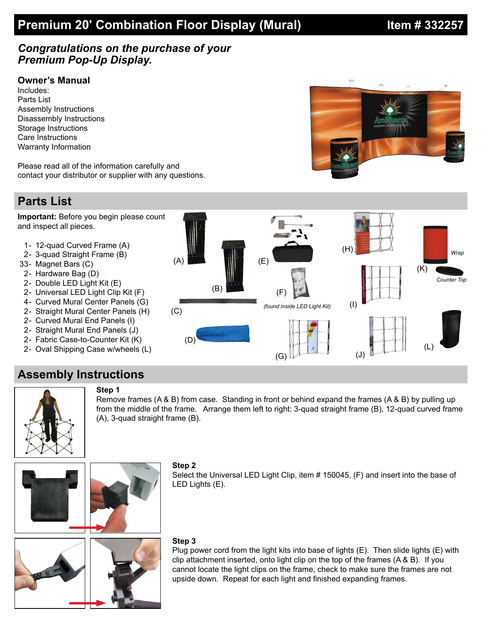# **Premium 20' Combination Floor Display (Mural) <b>Intermedy 1 and A** 33225

### *Congratulations on the purchase of your Premium Pop-Up Display.*

### **Owner's Manual**

Includes: Parts List Assembly Instructions Disassembly Instructions Storage Instructions Care Instructions Warranty Information

Please read all of the information carefully and contact your distributor or supplier with any questions.

### **Parts List**

**Important:** Before you begin please count and inspect all pieces.

- 1- 12-quad Curved Frame (A)
- 2- 3-quad Straight Frame (B)
- 33- Magnet Bars (C)
- 2- Hardware Bag (D)
- 2 Double LED Light Kit (E)
- 2- Universal LED Light Clip Kit (F)
- 4 Curved Mural Center Panels (G)
- 2- Straight Mural Center Panels (H)
- 2- Curved Mural End Panels (I)
- 2- Straight Mural End Panels (J)
- 2- Fabric Case-to-Counter Kit (K)
- 2- Oval Shipping Case w/wheels (L)

**Step 1**



## **Assembly Instructions**



**Step 2** Select the Universal LED Light Clip, item # 150045, (F) and insert into the base of LED Lights (E).

Remove frames (A & B) from case. Standing in front or behind expand the frames (A & B) by pulling up from the middle of the frame. Arrange them left to right: 3-quad straight frame (B), 12-quad curved frame

#### **Step 3**

Plug power cord from the light kits into base of lights  $(E)$ . Then slide lights  $(E)$  with clip attachment inserted, onto light clip on the top of the frames (A & B). If you cannot locate the light clips on the frame, check to make sure the frames are not upside down. Repeat for each light and finished expanding frames.



(A), 3-quad straight frame (B).

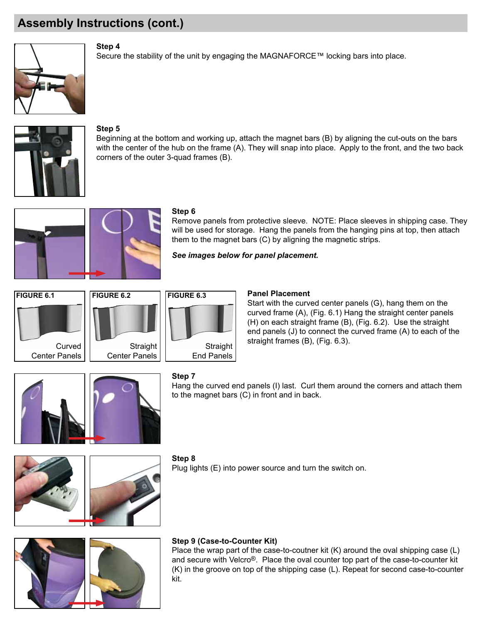# **Assembly Instructions (cont.)**



**Step 4**

Secure the stability of the unit by engaging the MAGNAFORCE™ locking bars into place.



#### **Step 5**

Beginning at the bottom and working up, attach the magnet bars (B) by aligning the cut-outs on the bars with the center of the hub on the frame (A). They will snap into place. Apply to the front, and the two back corners of the outer 3-quad frames (B).





#### **Step 6**

Remove panels from protective sleeve. NOTE: Place sleeves in shipping case. They will be used for storage. Hang the panels from the hanging pins at top, then attach them to the magnet bars (C) by aligning the magnetic strips.

*See images below for panel placement.*







#### **Panel Placement**

Start with the curved center panels (G), hang them on the curved frame (A), (Fig. 6.1) Hang the straight center panels (H) on each straight frame (B), (Fig. 6.2). Use the straight end panels (J) to connect the curved frame (A) to each of the



### **Step 7**

Hang the curved end panels (I) last. Curl them around the corners and attach them to the magnet bars (C) in front and in back.





#### **Step 8**

Plug lights (E) into power source and turn the switch on.



#### **Step 9 (Case-to-Counter Kit)**

Place the wrap part of the case-to-coutner kit  $(K)$  around the oval shipping case  $(L)$ and secure with Velcro®. Place the oval counter top part of the case-to-counter kit (K) in the groove on top of the shipping case (L). Repeat for second case-to-counter kit.